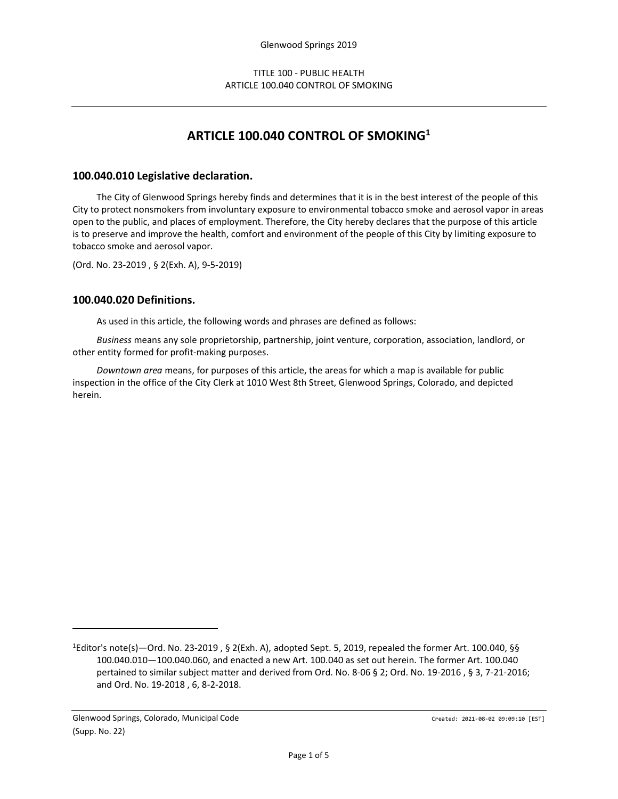# **ARTICLE 100.040 CONTROL OF SMOKING<sup>1</sup>**

### **100.040.010 Legislative declaration.**

The City of Glenwood Springs hereby finds and determines that it is in the best interest of the people of this City to protect nonsmokers from involuntary exposure to environmental tobacco smoke and aerosol vapor in areas open to the public, and places of employment. Therefore, the City hereby declares that the purpose of this article is to preserve and improve the health, comfort and environment of the people of this City by limiting exposure to tobacco smoke and aerosol vapor.

(Ord. No. 23-2019 , § 2(Exh. A), 9-5-2019)

#### **100.040.020 Definitions.**

As used in this article, the following words and phrases are defined as follows:

*Business* means any sole proprietorship, partnership, joint venture, corporation, association, landlord, or other entity formed for profit-making purposes.

*Downtown area* means, for purposes of this article, the areas for which a map is available for public inspection in the office of the City Clerk at 1010 West 8th Street, Glenwood Springs, Colorado, and depicted herein.

<sup>1</sup>Editor's note(s)—Ord. No. 23-2019 , § 2(Exh. A), adopted Sept. 5, 2019, repealed the former Art. 100.040, §§ 100.040.010—100.040.060, and enacted a new Art. 100.040 as set out herein. The former Art. 100.040 pertained to similar subject matter and derived from Ord. No. 8-06 § 2; Ord. No. 19-2016 , § 3, 7-21-2016; and Ord. No. 19-2018 , 6, 8-2-2018.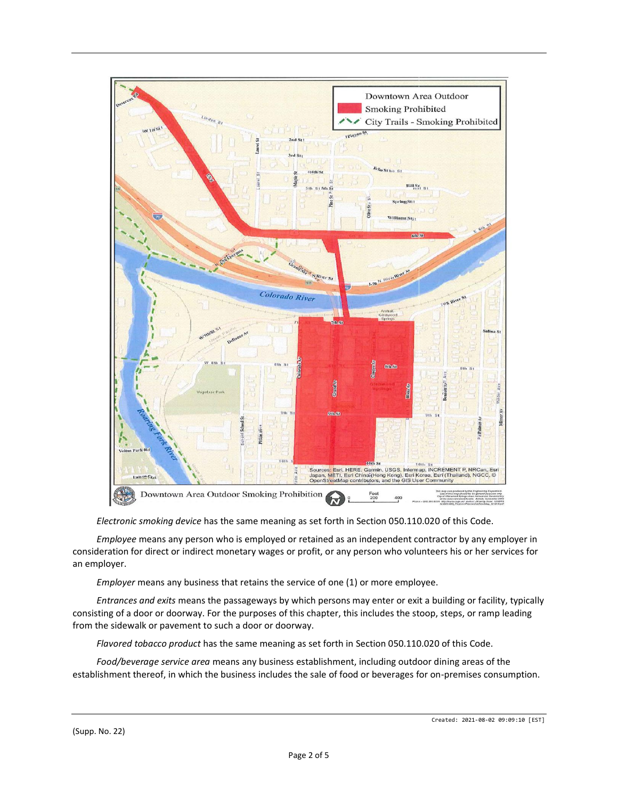

*Electronic smoking device* has the same meaning as set forth in Section 050.110.020 of this Code.

*Employee* means any person who is employed or retained as an independent contractor by any employer in consideration for direct or indirect monetary wages or profit, or any person who volunteers his or her services for an employer.

*Employer* means any business that retains the service of one (1) or more employee.

*Entrances and exits* means the passageways by which persons may enter or exit a building or facility, typically consisting of a door or doorway. For the purposes of this chapter, this includes the stoop, steps, or ramp leading from the sidewalk or pavement to such a door or doorway.

*Flavored tobacco product* has the same meaning as set forth in Section 050.110.020 of this Code.

*Food/beverage service area* means any business establishment, including outdoor dining areas of the establishment thereof, in which the business includes the sale of food or beverages for on-premises consumption.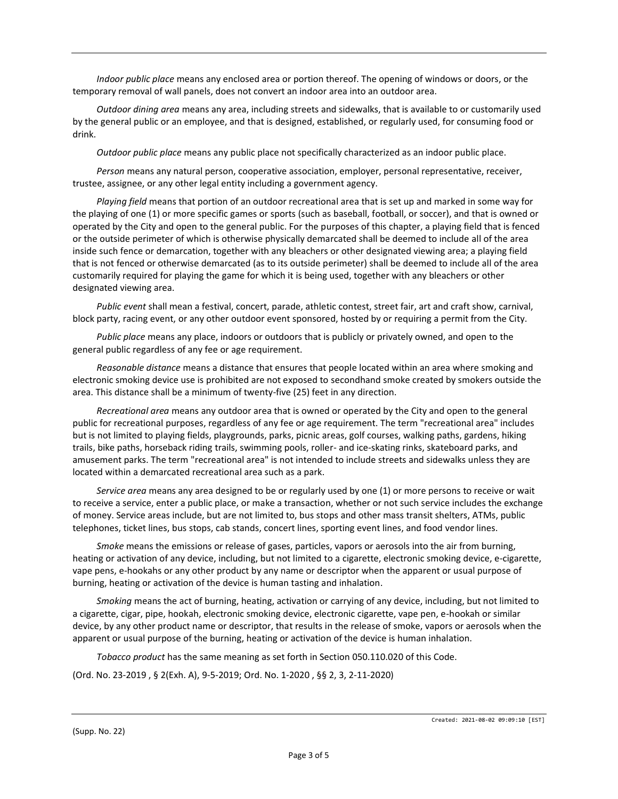*Indoor public place* means any enclosed area or portion thereof. The opening of windows or doors, or the temporary removal of wall panels, does not convert an indoor area into an outdoor area.

*Outdoor dining area* means any area, including streets and sidewalks, that is available to or customarily used by the general public or an employee, and that is designed, established, or regularly used, for consuming food or drink.

*Outdoor public place* means any public place not specifically characterized as an indoor public place.

*Person* means any natural person, cooperative association, employer, personal representative, receiver, trustee, assignee, or any other legal entity including a government agency.

*Playing field* means that portion of an outdoor recreational area that is set up and marked in some way for the playing of one (1) or more specific games or sports (such as baseball, football, or soccer), and that is owned or operated by the City and open to the general public. For the purposes of this chapter, a playing field that is fenced or the outside perimeter of which is otherwise physically demarcated shall be deemed to include all of the area inside such fence or demarcation, together with any bleachers or other designated viewing area; a playing field that is not fenced or otherwise demarcated (as to its outside perimeter) shall be deemed to include all of the area customarily required for playing the game for which it is being used, together with any bleachers or other designated viewing area.

*Public event* shall mean a festival, concert, parade, athletic contest, street fair, art and craft show, carnival, block party, racing event, or any other outdoor event sponsored, hosted by or requiring a permit from the City.

*Public place* means any place, indoors or outdoors that is publicly or privately owned, and open to the general public regardless of any fee or age requirement.

*Reasonable distance* means a distance that ensures that people located within an area where smoking and electronic smoking device use is prohibited are not exposed to secondhand smoke created by smokers outside the area. This distance shall be a minimum of twenty-five (25) feet in any direction.

*Recreational area* means any outdoor area that is owned or operated by the City and open to the general public for recreational purposes, regardless of any fee or age requirement. The term "recreational area" includes but is not limited to playing fields, playgrounds, parks, picnic areas, golf courses, walking paths, gardens, hiking trails, bike paths, horseback riding trails, swimming pools, roller- and ice-skating rinks, skateboard parks, and amusement parks. The term "recreational area" is not intended to include streets and sidewalks unless they are located within a demarcated recreational area such as a park.

*Service area* means any area designed to be or regularly used by one (1) or more persons to receive or wait to receive a service, enter a public place, or make a transaction, whether or not such service includes the exchange of money. Service areas include, but are not limited to, bus stops and other mass transit shelters, ATMs, public telephones, ticket lines, bus stops, cab stands, concert lines, sporting event lines, and food vendor lines.

*Smoke* means the emissions or release of gases, particles, vapors or aerosols into the air from burning, heating or activation of any device, including, but not limited to a cigarette, electronic smoking device, e-cigarette, vape pens, e-hookahs or any other product by any name or descriptor when the apparent or usual purpose of burning, heating or activation of the device is human tasting and inhalation.

*Smoking* means the act of burning, heating, activation or carrying of any device, including, but not limited to a cigarette, cigar, pipe, hookah, electronic smoking device, electronic cigarette, vape pen, e-hookah or similar device, by any other product name or descriptor, that results in the release of smoke, vapors or aerosols when the apparent or usual purpose of the burning, heating or activation of the device is human inhalation.

*Tobacco product* has the same meaning as set forth in Section 050.110.020 of this Code.

(Ord. No. 23-2019 , § 2(Exh. A), 9-5-2019; Ord. No. 1-2020 , §§ 2, 3, 2-11-2020)

(Supp. No. 22)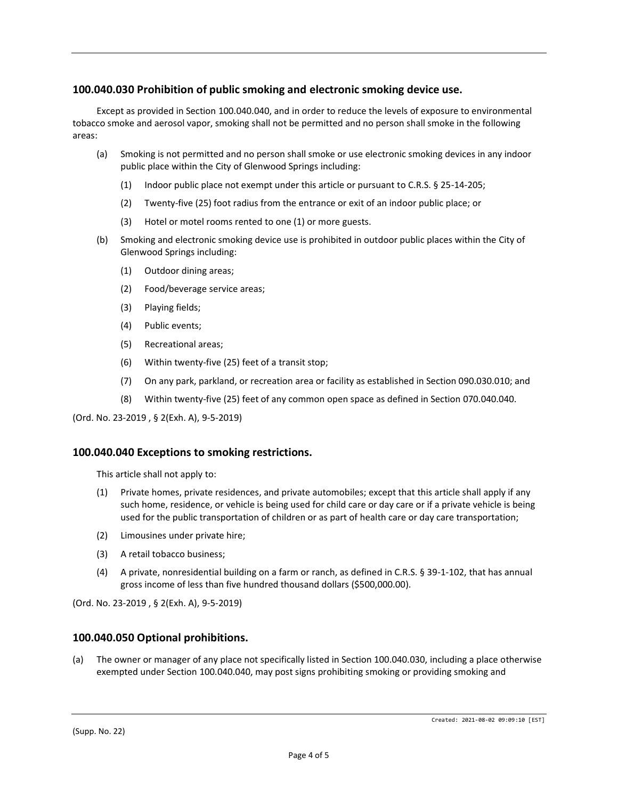## **100.040.030 Prohibition of public smoking and electronic smoking device use.**

Except as provided in Section 100.040.040, and in order to reduce the levels of exposure to environmental tobacco smoke and aerosol vapor, smoking shall not be permitted and no person shall smoke in the following areas:

- (a) Smoking is not permitted and no person shall smoke or use electronic smoking devices in any indoor public place within the City of Glenwood Springs including:
	- (1) Indoor public place not exempt under this article or pursuant to C.R.S. § 25-14-205;
	- (2) Twenty-five (25) foot radius from the entrance or exit of an indoor public place; or
	- (3) Hotel or motel rooms rented to one (1) or more guests.
- (b) Smoking and electronic smoking device use is prohibited in outdoor public places within the City of Glenwood Springs including:
	- (1) Outdoor dining areas;
	- (2) Food/beverage service areas;
	- (3) Playing fields;
	- (4) Public events;
	- (5) Recreational areas;
	- (6) Within twenty-five (25) feet of a transit stop;
	- (7) On any park, parkland, or recreation area or facility as established in Section 090.030.010; and
	- (8) Within twenty-five (25) feet of any common open space as defined in Section 070.040.040.

(Ord. No. 23-2019 , § 2(Exh. A), 9-5-2019)

#### **100.040.040 Exceptions to smoking restrictions.**

This article shall not apply to:

- (1) Private homes, private residences, and private automobiles; except that this article shall apply if any such home, residence, or vehicle is being used for child care or day care or if a private vehicle is being used for the public transportation of children or as part of health care or day care transportation;
- (2) Limousines under private hire;
- (3) A retail tobacco business;
- (4) A private, nonresidential building on a farm or ranch, as defined in C.R.S. § 39-1-102, that has annual gross income of less than five hundred thousand dollars (\$500,000.00).

(Ord. No. 23-2019 , § 2(Exh. A), 9-5-2019)

#### **100.040.050 Optional prohibitions.**

(a) The owner or manager of any place not specifically listed in Section 100.040.030, including a place otherwise exempted under Section 100.040.040, may post signs prohibiting smoking or providing smoking and

(Supp. No. 22)